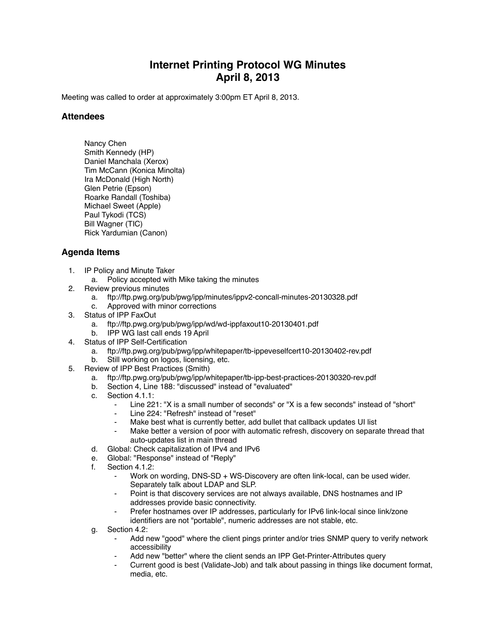## **Internet Printing Protocol WG Minutes April 8, 2013**

Meeting was called to order at approximately 3:00pm ET April 8, 2013.

## **Attendees**

Nancy Chen Smith Kennedy (HP) Daniel Manchala (Xerox) Tim McCann (Konica Minolta) Ira McDonald (High North) Glen Petrie (Epson) Roarke Randall (Toshiba) Michael Sweet (Apple) Paul Tykodi (TCS) Bill Wagner (TIC) Rick Yardumian (Canon)

## **Agenda Items**

- 1. IP Policy and Minute Taker
	- a. Policy accepted with Mike taking the minutes
- 2. Review previous minutes
	- a. ftp://ftp.pwg.org/pub/pwg/ipp/minutes/ippv2-concall-minutes-20130328.pdf
	- c. Approved with minor corrections
- 3. Status of IPP FaxOut
	- a. ftp://ftp.pwg.org/pub/pwg/ipp/wd/wd-ippfaxout10-20130401.pdf
	- b. IPP WG last call ends 19 April
- 4. Status of IPP Self-Certification
	- a. ftp://ftp.pwg.org/pub/pwg/ipp/whitepaper/tb-ippeveselfcert10-20130402-rev.pdf
	- b. Still working on logos, licensing, etc.
- 5. Review of IPP Best Practices (Smith)
	- a. ftp://ftp.pwg.org/pub/pwg/ipp/whitepaper/tb-ipp-best-practices-20130320-rev.pdf
	- b. Section 4, Line 188: "discussed" instead of "evaluated"
	- c. Section 4.1.1:
		- Line 221: "X is a small number of seconds" or "X is a few seconds" instead of "short"
		- Line 224: "Refresh" instead of "reset"
			- Make best what is currently better, add bullet that callback updates UI list
			- Make better a version of poor with automatic refresh, discovery on separate thread that auto-updates list in main thread
	- d. Global: Check capitalization of IPv4 and IPv6
	- e. Global: "Response" instead of "Reply"
	- Section 4.1.2:
		- Work on wording, DNS-SD + WS-Discovery are often link-local, can be used wider. Separately talk about LDAP and SLP.
		- ⁃ Point is that discovery services are not always available, DNS hostnames and IP addresses provide basic connectivity.
		- Prefer hostnames over IP addresses, particularly for IPv6 link-local since link/zone identifiers are not "portable", numeric addresses are not stable, etc.
	- g. Section 4.2:
		- Add new "good" where the client pings printer and/or tries SNMP query to verify network accessibility
		- Add new "better" where the client sends an IPP Get-Printer-Attributes query
		- Current good is best (Validate-Job) and talk about passing in things like document format, media, etc.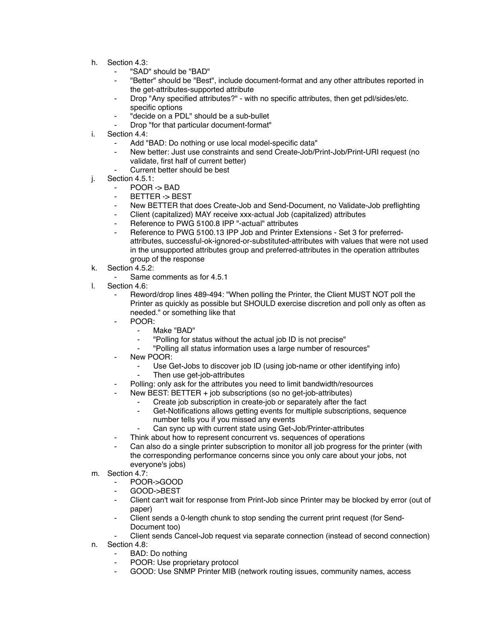- h. Section 4.3:
	- ⁃ "SAD" should be "BAD"
	- ⁃ "Better" should be "Best", include document-format and any other attributes reported in the get-attributes-supported attribute
	- Drop "Any specified attributes?" with no specific attributes, then get pdl/sides/etc. specific options
	- "decide on a PDL" should be a sub-bullet
	- Drop "for that particular document-format"
- i. Section 4.4:
	- Add "BAD: Do nothing or use local model-specific data"
	- New better: Just use constraints and send Create-Job/Print-Job/Print-URI request (no validate, first half of current better)
	- Current better should be best
- j. Section 4.5.1:
	- ⁃ POOR -> BAD
	- ⁃ BETTER -> BEST
	- New BETTER that does Create-Job and Send-Document, no Validate-Job preflighting
	- Client (capitalized) MAY receive xxx-actual Job (capitalized) attributes
	- Reference to PWG 5100.8 IPP "-actual" attributes
	- Reference to PWG 5100.13 IPP Job and Printer Extensions Set 3 for preferredattributes, successful-ok-ignored-or-substituted-attributes with values that were not used in the unsupported attributes group and preferred-attributes in the operation attributes group of the response
- k. Section 4.5.2:
	- Same comments as for 4.5.1
- l. Section 4.6:
	- Reword/drop lines 489-494: "When polling the Printer, the Client MUST NOT poll the Printer as quickly as possible but SHOULD exercise discretion and poll only as often as needed." or something like that
	- POOR:
		- Make "BAD"
		- ⁃ "Polling for status without the actual job ID is not precise"
		- ⁃ "Polling all status information uses a large number of resources"
	- New POOR:
		- Use Get-Jobs to discover job ID (using job-name or other identifying info) Then use get-job-attributes
		- Polling: only ask for the attributes you need to limit bandwidth/resources
	- New BEST: BETTER + job subscriptions (so no get-job-attributes)
		- Create job subscription in create-job or separately after the fact
		- Get-Notifications allows getting events for multiple subscriptions, sequence number tells you if you missed any events
			- Can sync up with current state using Get-Job/Printer-attributes
		- Think about how to represent concurrent vs. sequences of operations
	- Can also do a single printer subscription to monitor all job progress for the printer (with the corresponding performance concerns since you only care about your jobs, not everyone's jobs)
- m. Section 4.7:
	- ⁃ POOR->GOOD
	- ⁃ GOOD->BEST
	- Client can't wait for response from Print-Job since Printer may be blocked by error (out of paper)
	- Client sends a 0-length chunk to stop sending the current print request (for Send-Document too)
	- Client sends Cancel-Job request via separate connection (instead of second connection)
- n. Section 4.8:
	- BAD: Do nothing
	- POOR: Use proprietary protocol
	- ⁃ GOOD: Use SNMP Printer MIB (network routing issues, community names, access